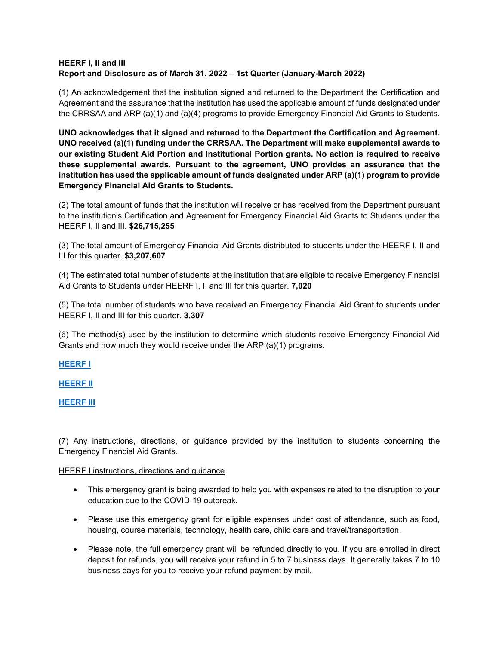## **HEERF I, II and III Report and Disclosure as of March 31, 2022 – 1st Quarter (January-March 2022)**

(1) An acknowledgement that the institution signed and returned to the Department the Certification and Agreement and the assurance that the institution has used the applicable amount of funds designated under the CRRSAA and ARP (a)(1) and (a)(4) programs to provide Emergency Financial Aid Grants to Students.

**UNO acknowledges that it signed and returned to the Department the Certification and Agreement. UNO received (a)(1) funding under the CRRSAA. The Department will make supplemental awards to our existing Student Aid Portion and Institutional Portion grants. No action is required to receive these supplemental awards. Pursuant to the agreement, UNO provides an assurance that the institution has used the applicable amount of funds designated under ARP (a)(1) program to provide Emergency Financial Aid Grants to Students.**

(2) The total amount of funds that the institution will receive or has received from the Department pursuant to the institution's Certification and Agreement for Emergency Financial Aid Grants to Students under the HEERF I, II and III. **\$26,715,255**

(3) The total amount of Emergency Financial Aid Grants distributed to students under the HEERF I, II and III for this quarter. **\$3,207,607**

(4) The estimated total number of students at the institution that are eligible to receive Emergency Financial Aid Grants to Students under HEERF I, II and III for this quarter. **7,020**

(5) The total number of students who have received an Emergency Financial Aid Grant to students under HEERF I, II and III for this quarter. **3,307**

(6) The method(s) used by the institution to determine which students receive Emergency Financial Aid Grants and how much they would receive under the ARP (a)(1) programs.

**[HEERF I](https://www.unomaha.edu/admissions/financial-support-and-scholarships/tools-and-resources/_docs/cares-act-heerf-student-emergency-grant-distribution.pdf)**

**[HEERF II](https://www.unomaha.edu/admissions/financial-support-and-scholarships/_fss-files/docs/unos-crrsaa-heerf-ii-student-emergency-grant-distribution.pdf)**

**[HEERF III](https://www.unomaha.edu/admissions/financial-support-and-scholarships/_fss-files/docs/heerf-iii/uno-heerf-iii-student-emergency-grant-distribution.pdf)**

(7) Any instructions, directions, or guidance provided by the institution to students concerning the Emergency Financial Aid Grants.

## HEERF I instructions, directions and guidance

- This emergency grant is being awarded to help you with expenses related to the disruption to your education due to the COVID-19 outbreak.
- Please use this emergency grant for eligible expenses under cost of attendance, such as food, housing, course materials, technology, health care, child care and travel/transportation.
- Please note, the full emergency grant will be refunded directly to you. If you are enrolled in direct deposit for refunds, you will receive your refund in 5 to 7 business days. It generally takes 7 to 10 business days for you to receive your refund payment by mail.